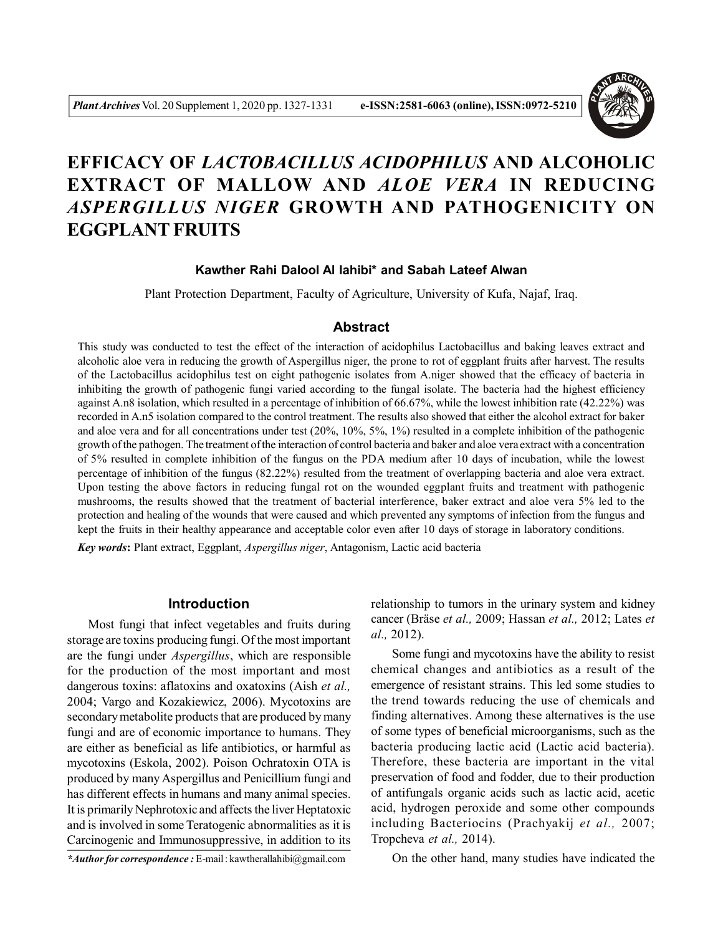

# **EFFICACY OF** *LACTOBACILLUS ACIDOPHILUS* **AND ALCOHOLIC EXTRACT OF MALLOW AND** *ALOE VERA* **IN REDUCING** *ASPERGILLUS NIGER* **GROWTH AND PATHOGENICITY ON EGGPLANT FRUITS**

### **Kawther Rahi Dalool Al lahibi\* and Sabah Lateef Alwan**

Plant Protection Department, Faculty of Agriculture, University of Kufa, Najaf, Iraq.

#### **Abstract**

This study was conducted to test the effect of the interaction of acidophilus Lactobacillus and baking leaves extract and alcoholic aloe vera in reducing the growth of Aspergillus niger, the prone to rot of eggplant fruits after harvest. The results of the Lactobacillus acidophilus test on eight pathogenic isolates from A.niger showed that the efficacy of bacteria in inhibiting the growth of pathogenic fungi varied according to the fungal isolate. The bacteria had the highest efficiency against A.n8 isolation, which resulted in a percentage of inhibition of 66.67%, while the lowest inhibition rate (42.22%) was recorded in A.n5 isolation compared to the control treatment. The results also showed that either the alcohol extract for baker and aloe vera and for all concentrations under test (20%, 10%, 5%, 1%) resulted in a complete inhibition of the pathogenic growth of the pathogen. The treatment of the interaction of control bacteria and baker and aloe vera extract with a concentration of 5% resulted in complete inhibition of the fungus on the PDA medium after 10 days of incubation, while the lowest percentage of inhibition of the fungus (82.22%) resulted from the treatment of overlapping bacteria and aloe vera extract. Upon testing the above factors in reducing fungal rot on the wounded eggplant fruits and treatment with pathogenic mushrooms, the results showed that the treatment of bacterial interference, baker extract and aloe vera 5% led to the protection and healing of the wounds that were caused and which prevented any symptoms of infection from the fungus and kept the fruits in their healthy appearance and acceptable color even after 10 days of storage in laboratory conditions.

*Key words***:** Plant extract, Eggplant, *Aspergillus niger*, Antagonism, Lactic acid bacteria

#### **Introduction**

Most fungi that infect vegetables and fruits during storage are toxins producing fungi. Of the most important are the fungi under *Aspergillus*, which are responsible for the production of the most important and most dangerous toxins: aflatoxins and oxatoxins (Aish *et al.,* 2004; Vargo and Kozakiewicz, 2006). Mycotoxins are secondary metabolite products that are produced by many fungi and are of economic importance to humans. They are either as beneficial as life antibiotics, or harmful as mycotoxins (Eskola, 2002). Poison Ochratoxin OTA is produced by many Aspergillus and Penicillium fungi and has different effects in humans and many animal species. It is primarily Nephrotoxic and affects the liver Heptatoxic and is involved in some Teratogenic abnormalities as it is Carcinogenic and Immunosuppressive, in addition to its

*\*Author for correspondence :* E-mail : kawtherallahibi@gmail.com

relationship to tumors in the urinary system and kidney cancer (Bräse *et al.,* 2009; Hassan *et al.,* 2012; Lates *et al.,* 2012).

Some fungi and mycotoxins have the ability to resist chemical changes and antibiotics as a result of the emergence of resistant strains. This led some studies to the trend towards reducing the use of chemicals and finding alternatives. Among these alternatives is the use of some types of beneficial microorganisms, such as the bacteria producing lactic acid (Lactic acid bacteria). Therefore, these bacteria are important in the vital preservation of food and fodder, due to their production of antifungals organic acids such as lactic acid, acetic acid, hydrogen peroxide and some other compounds including Bacteriocins (Prachyakij *et al.,* 2007; Tropcheva *et al.,* 2014).

On the other hand, many studies have indicated the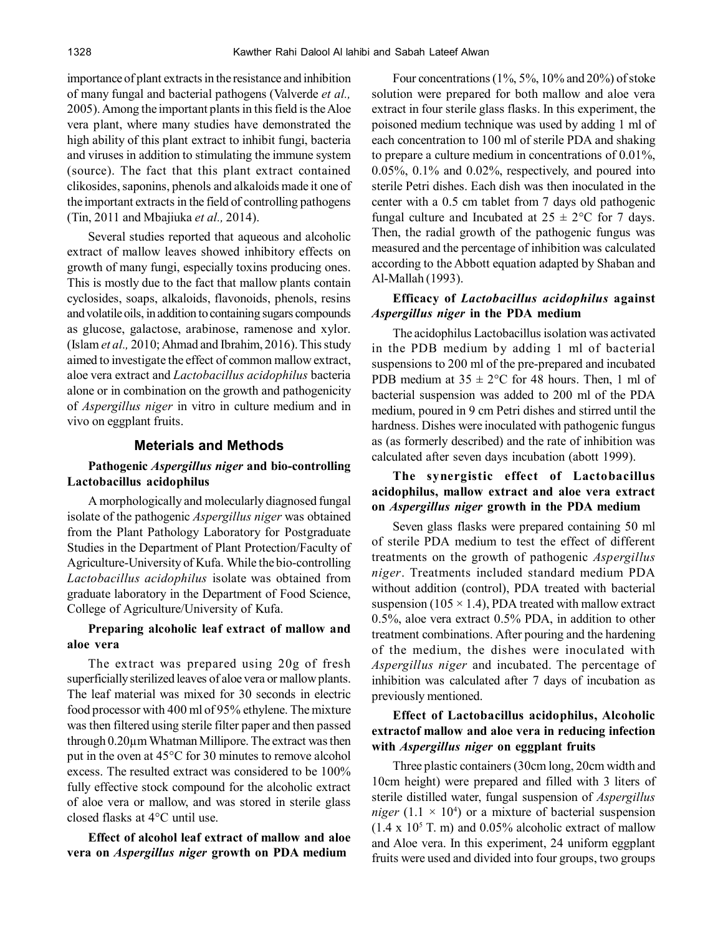importance of plant extracts in the resistance and inhibition of many fungal and bacterial pathogens (Valverde *et al.,* 2005). Among the important plants in this field is the Aloe vera plant, where many studies have demonstrated the high ability of this plant extract to inhibit fungi, bacteria and viruses in addition to stimulating the immune system (source). The fact that this plant extract contained clikosides, saponins, phenols and alkaloids made it one of the important extracts in the field of controlling pathogens (Tin, 2011 and Mbajiuka *et al.,* 2014).

Several studies reported that aqueous and alcoholic extract of mallow leaves showed inhibitory effects on growth of many fungi, especially toxins producing ones. This is mostly due to the fact that mallow plants contain cyclosides, soaps, alkaloids, flavonoids, phenols, resins and volatile oils, in addition to containing sugars compounds as glucose, galactose, arabinose, ramenose and xylor. (Islam *et al.,* 2010; Ahmad and Ibrahim, 2016). This study aimed to investigate the effect of common mallow extract, aloe vera extract and *Lactobacillus acidophilus* bacteria alone or in combination on the growth and pathogenicity of *Aspergillus niger* in vitro in culture medium and in vivo on eggplant fruits.

#### **Meterials and Methods**

# **Pathogenic** *Aspergillus niger* **and bio-controlling Lactobacillus acidophilus**

A morphologically and molecularly diagnosed fungal isolate of the pathogenic *Aspergillus niger* was obtained from the Plant Pathology Laboratory for Postgraduate Studies in the Department of Plant Protection/Faculty of Agriculture-University of Kufa. While the bio-controlling *Lactobacillus acidophilus* isolate was obtained from graduate laboratory in the Department of Food Science, College of Agriculture/University of Kufa.

# **Preparing alcoholic leaf extract of mallow and aloe vera**

The extract was prepared using 20g of fresh superficially sterilized leaves of aloe vera or mallow plants. The leaf material was mixed for 30 seconds in electric food processor with 400 ml of 95% ethylene. The mixture was then filtered using sterile filter paper and then passed through 0.20µm Whatman Millipore. The extract was then put in the oven at 45°C for 30 minutes to remove alcohol excess. The resulted extract was considered to be 100% fully effective stock compound for the alcoholic extract of aloe vera or mallow, and was stored in sterile glass closed flasks at 4°C until use.

**Effect of alcohol leaf extract of mallow and aloe vera on** *Aspergillus niger* **growth on PDA medium**

Four concentrations (1%, 5%, 10% and 20%) of stoke solution were prepared for both mallow and aloe vera extract in four sterile glass flasks. In this experiment, the poisoned medium technique was used by adding 1 ml of each concentration to 100 ml of sterile PDA and shaking to prepare a culture medium in concentrations of 0.01%, 0.05%, 0.1% and 0.02%, respectively, and poured into sterile Petri dishes. Each dish was then inoculated in the center with a 0.5 cm tablet from 7 days old pathogenic fungal culture and Incubated at  $25 \pm 2$ °C for 7 days. Then, the radial growth of the pathogenic fungus was measured and the percentage of inhibition was calculated according to the Abbott equation adapted by Shaban and Al-Mallah (1993).

# **Efficacy of** *Lactobacillus acidophilus* **against** *Aspergillus niger* **in the PDA medium**

The acidophilus Lactobacillus isolation was activated in the PDB medium by adding 1 ml of bacterial suspensions to 200 ml of the pre-prepared and incubated PDB medium at  $35 \pm 2$ °C for 48 hours. Then, 1 ml of bacterial suspension was added to 200 ml of the PDA medium, poured in 9 cm Petri dishes and stirred until the hardness. Dishes were inoculated with pathogenic fungus as (as formerly described) and the rate of inhibition was calculated after seven days incubation (abott 1999).

# **The synergistic effect of Lactobacillus acidophilus, mallow extract and aloe vera extract on** *Aspergillus niger* **growth in the PDA medium**

Seven glass flasks were prepared containing 50 ml of sterile PDA medium to test the effect of different treatments on the growth of pathogenic *Aspergillus niger*. Treatments included standard medium PDA without addition (control), PDA treated with bacterial suspension (105  $\times$  1.4), PDA treated with mallow extract 0.5%, aloe vera extract 0.5% PDA, in addition to other treatment combinations. After pouring and the hardening of the medium, the dishes were inoculated with *Aspergillus niger* and incubated. The percentage of inhibition was calculated after 7 days of incubation as previously mentioned.

# **Effect of Lactobacillus acidophilus, Alcoholic extractof mallow and aloe vera in reducing infection with** *Aspergillus niger* **on eggplant fruits**

Three plastic containers (30cm long, 20cm width and 10cm height) were prepared and filled with 3 liters of sterile distilled water, fungal suspension of *Aspergillus niger* (1.1  $\times$  10<sup>4</sup>) or a mixture of bacterial suspension  $(1.4 \times 10^5 \text{ T. m})$  and 0.05% alcoholic extract of mallow and Aloe vera. In this experiment, 24 uniform eggplant fruits were used and divided into four groups, two groups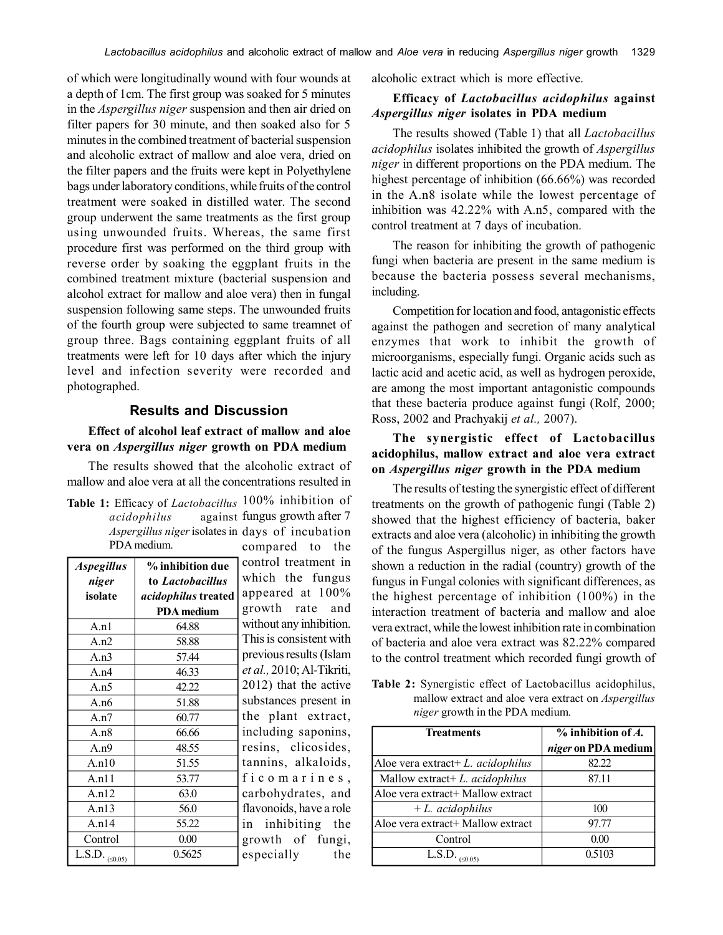of which were longitudinally wound with four wounds at a depth of 1cm. The first group was soaked for 5 minutes in the *Aspergillus niger* suspension and then air dried on filter papers for 30 minute, and then soaked also for 5 minutes in the combined treatment of bacterial suspension and alcoholic extract of mallow and aloe vera, dried on the filter papers and the fruits were kept in Polyethylene bags under laboratory conditions, while fruits of the control treatment were soaked in distilled water. The second group underwent the same treatments as the first group using unwounded fruits. Whereas, the same first procedure first was performed on the third group with reverse order by soaking the eggplant fruits in the combined treatment mixture (bacterial suspension and alcohol extract for mallow and aloe vera) then in fungal suspension following same steps. The unwounded fruits of the fourth group were subjected to same treamnet of group three. Bags containing eggplant fruits of all treatments were left for 10 days after which the injury level and infection severity were recorded and photographed.

### **Results and Discussion**

### **Effect of alcohol leaf extract of mallow and aloe vera on** *Aspergillus niger* **growth on PDA medium**

The results showed that the alcoholic extract of mallow and aloe vera at all the concentrations resulted in

| Table 1: Efficacy of <i>Lactobacillus</i> 100% inhibition of |                               |
|--------------------------------------------------------------|-------------------------------|
| acidophilus                                                  | against fungus growth after 7 |
| <i>Aspergillus niger</i> isolates in days of incubation      |                               |
| PDA medium.                                                  | compared to the               |

| <b>Aspegillus</b>       | % inhibition due    | control treatm    |
|-------------------------|---------------------|-------------------|
| niger                   | to Lactobacillus    | which the f       |
| isolate                 | acidophilus treated | appeared at       |
|                         | <b>PDA</b> medium   | growth rate       |
| A.n1                    | 64.88               | without any inh   |
| A.n2                    | 58.88               | This is consiste  |
| A.n3                    | 57.44               | previous results  |
| A.n4                    | 46.33               | et al., 2010; Al- |
| A.n5                    | 42.22               | $2012$ ) that the |
| A. $n6$                 | 51.88               | substances pre    |
| A.n7                    | 60.77               | the plant ex      |
| A.n8                    | 66.66               | including sap     |
| A.n9                    | 48.55               | resins, clico     |
| A.n10                   | 51.55               | tannins, alka     |
| A.n11                   | 53.77               | ficomari          |
| A.n12                   | 63.0                | carbohydrate:     |
| A.n13                   | 56.0                | flavonoids, hav   |
| A.n14                   | 55.22               | inhibiting<br>1n  |
| Control                 | 0.00                | growth of         |
| L.S.D. $_{(\leq 0.05)}$ | 0.5625              | especially        |
|                         |                     |                   |

compared to the nent in iungus 100% and ibition. nt with (Islam Tikriti, active sent in ktract, onins, sides. loids.  $n e s$ , s, and e a role g the fungi, the

alcoholic extract which is more effective.

# **Efficacy of** *Lactobacillus acidophilus* **against** *Aspergillus niger* **isolates in PDA medium**

The results showed (Table 1) that all *Lactobacillus acidophilus* isolates inhibited the growth of *Aspergillus niger* in different proportions on the PDA medium. The highest percentage of inhibition (66.66%) was recorded in the A.n8 isolate while the lowest percentage of inhibition was 42.22% with A.n5, compared with the control treatment at 7 days of incubation.

The reason for inhibiting the growth of pathogenic fungi when bacteria are present in the same medium is because the bacteria possess several mechanisms, including.

Competition for location and food, antagonistic effects against the pathogen and secretion of many analytical enzymes that work to inhibit the growth of microorganisms, especially fungi. Organic acids such as lactic acid and acetic acid, as well as hydrogen peroxide, are among the most important antagonistic compounds that these bacteria produce against fungi (Rolf, 2000; Ross, 2002 and Prachyakij *et al.,* 2007).

# **The synergistic effect of Lactobacillus acidophilus, mallow extract and aloe vera extract on** *Aspergillus niger* **growth in the PDA medium**

The results of testing the synergistic effect of different treatments on the growth of pathogenic fungi (Table 2) showed that the highest efficiency of bacteria, baker extracts and aloe vera (alcoholic) in inhibiting the growth of the fungus Aspergillus niger, as other factors have shown a reduction in the radial (country) growth of the fungus in Fungal colonies with significant differences, as the highest percentage of inhibition (100%) in the interaction treatment of bacteria and mallow and aloe vera extract, while the lowest inhibition rate in combination of bacteria and aloe vera extract was 82.22% compared to the control treatment which recorded fungi growth of

**Table 2:** Synergistic effect of Lactobacillus acidophilus, mallow extract and aloe vera extract on *Aspergillus niger* growth in the PDA medium.

| Treatments                                   | $\overline{\%}$ inhibition of A.<br>niger on PDA medium |
|----------------------------------------------|---------------------------------------------------------|
| Aloe vera extract + $L$ . <i>acidophilus</i> | 82.22                                                   |
| Mallow extract+ L. acidophilus               | 87.11                                                   |
| Aloe vera extract+ Mallow extract            |                                                         |
| $+ L.$ acidophilus                           | 100                                                     |
| Aloe vera extract+ Mallow extract            | 97.77                                                   |
| Control                                      | 0.00                                                    |
| L.S.D. $_{(\leq 0.05)}$                      | 0.5103                                                  |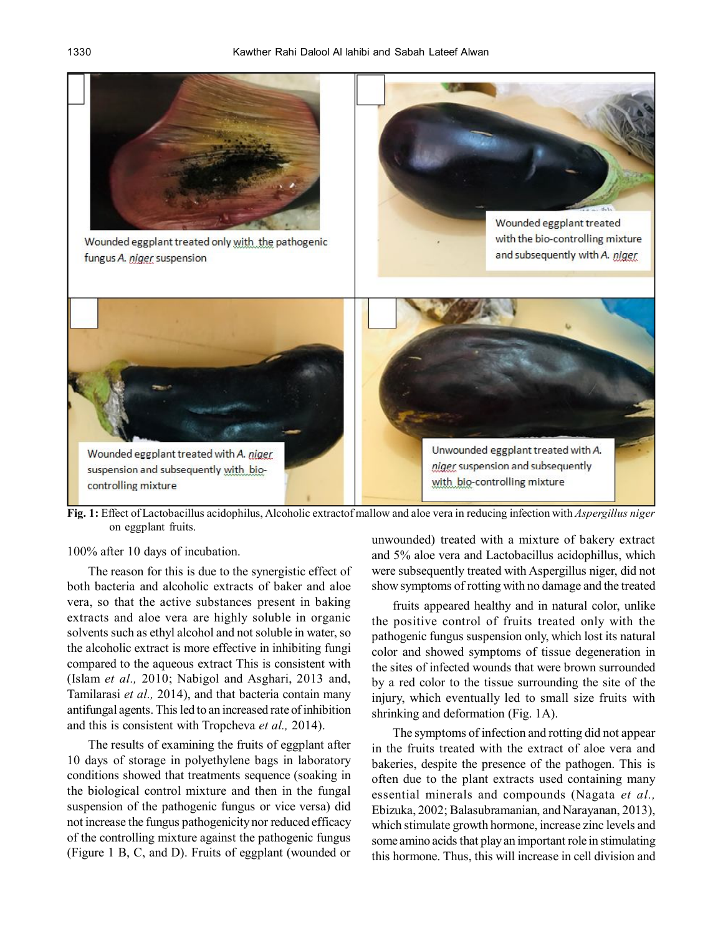

**Fig. 1:** Effect of Lactobacillus acidophilus, Alcoholic extractof mallow and aloe vera in reducing infection with *Aspergillus niger* on eggplant fruits.

#### 100% after 10 days of incubation.

The reason for this is due to the synergistic effect of both bacteria and alcoholic extracts of baker and aloe vera, so that the active substances present in baking extracts and aloe vera are highly soluble in organic solvents such as ethyl alcohol and not soluble in water, so the alcoholic extract is more effective in inhibiting fungi compared to the aqueous extract This is consistent with (Islam *et al.,* 2010; Nabigol and Asghari, 2013 and, Tamilarasi *et al.,* 2014), and that bacteria contain many antifungal agents. This led to an increased rate of inhibition and this is consistent with Tropcheva *et al.,* 2014).

The results of examining the fruits of eggplant after 10 days of storage in polyethylene bags in laboratory conditions showed that treatments sequence (soaking in the biological control mixture and then in the fungal suspension of the pathogenic fungus or vice versa) did not increase the fungus pathogenicity nor reduced efficacy of the controlling mixture against the pathogenic fungus (Figure 1 B, C, and D). Fruits of eggplant (wounded or

unwounded) treated with a mixture of bakery extract and 5% aloe vera and Lactobacillus acidophillus, which were subsequently treated with Aspergillus niger, did not show symptoms of rotting with no damage and the treated

fruits appeared healthy and in natural color, unlike the positive control of fruits treated only with the pathogenic fungus suspension only, which lost its natural color and showed symptoms of tissue degeneration in the sites of infected wounds that were brown surrounded by a red color to the tissue surrounding the site of the injury, which eventually led to small size fruits with shrinking and deformation (Fig. 1A).

The symptoms of infection and rotting did not appear in the fruits treated with the extract of aloe vera and bakeries, despite the presence of the pathogen. This is often due to the plant extracts used containing many essential minerals and compounds (Nagata *et al.,* Ebizuka, 2002; Balasubramanian, and Narayanan, 2013), which stimulate growth hormone, increase zinc levels and some amino acids that play an important role in stimulating this hormone. Thus, this will increase in cell division and